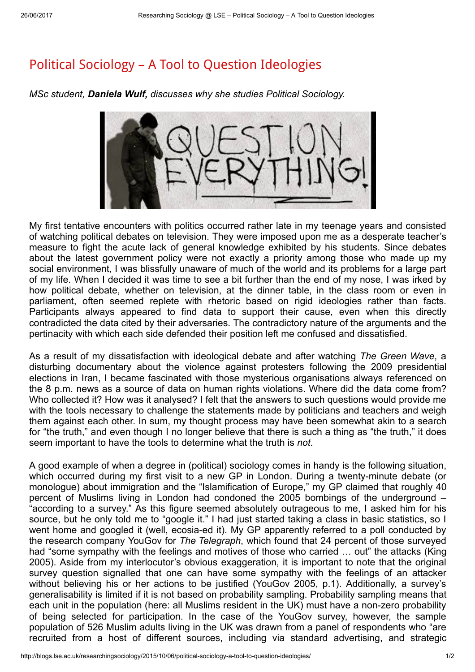## Political Sociology – A Tool to Question [Ideologies](http://blogs.lse.ac.uk/researchingsociology/2015/10/06/political-sociology-a-tool-to-question-ideologies/)

MSc student, Daniela Wulf, discusses why she studies Political Sociology.



My first tentative encounters with politics occurred rather late in my teenage years and consisted of watching political debates on television. They were imposed upon me as a desperate teacher's measure to fight the acute lack of general knowledge exhibited by his students. Since debates about the latest government policy were not exactly a priority among those who made up my social environment, I was blissfully unaware of much of the world and its problems for a large part of my life. When I decided it was time to see a bit further than the end of my nose, I was irked by how political debate, whether on television, at the dinner table, in the class room or even in parliament, often seemed replete with rhetoric based on rigid ideologies rather than facts. Participants always appeared to find data to support their cause, even when this directly contradicted the data cited by their adversaries. The contradictory nature of the arguments and the pertinacity with which each side defended their position left me confused and dissatisfied.

As a result of my dissatisfaction with ideological debate and after watching The Green Wave, a disturbing documentary about the violence against protesters following the 2009 presidential elections in Iran, I became fascinated with those mysterious organisations always referenced on the 8 p.m. news as a source of data on human rights violations. Where did the data come from? Who collected it? How was it analysed? I felt that the answers to such questions would provide me with the tools necessary to challenge the statements made by politicians and teachers and weigh them against each other. In sum, my thought process may have been somewhat akin to a search for "the truth," and even though I no longer believe that there is such a thing as "the truth," it does seem important to have the tools to determine what the truth is not.

A good example of when a degree in (political) sociology comes in handy is the following situation, which occurred during my first visit to a new GP in London. During a twenty-minute debate (or monologue) about immigration and the "Islamification of Europe," my GP claimed that roughly 40 percent of Muslims living in London had condoned the 2005 bombings of the underground – "according to a survey." As this figure seemed absolutely outrageous to me, I asked him for his source, but he only told me to "google it." I had just started taking a class in basic statistics, so I went home and googled it (well, ecosia-ed it). My GP apparently referred to a poll conducted by the research company YouGov for The Telegraph, which found that 24 percent of those surveyed had "some sympathy with the feelings and motives of those who carried … out" the attacks (King 2005). Aside from my interlocutor's obvious exaggeration, it is important to note that the original survey question signalled that one can have some sympathy with the feelings of an attacker without believing his or her actions to be justified (YouGov 2005, p.1). Additionally, a survey's generalisability is limited if it is not based on probability sampling. Probability sampling means that each unit in the population (here: all Muslims resident in the UK) must have a non-zero probability of being selected for participation. In the case of the YouGov survey, however, the sample population of 526 Muslim adults living in the UK was drawn from a panel of respondents who "are recruited from a host of different sources, including via standard advertising, and strategic